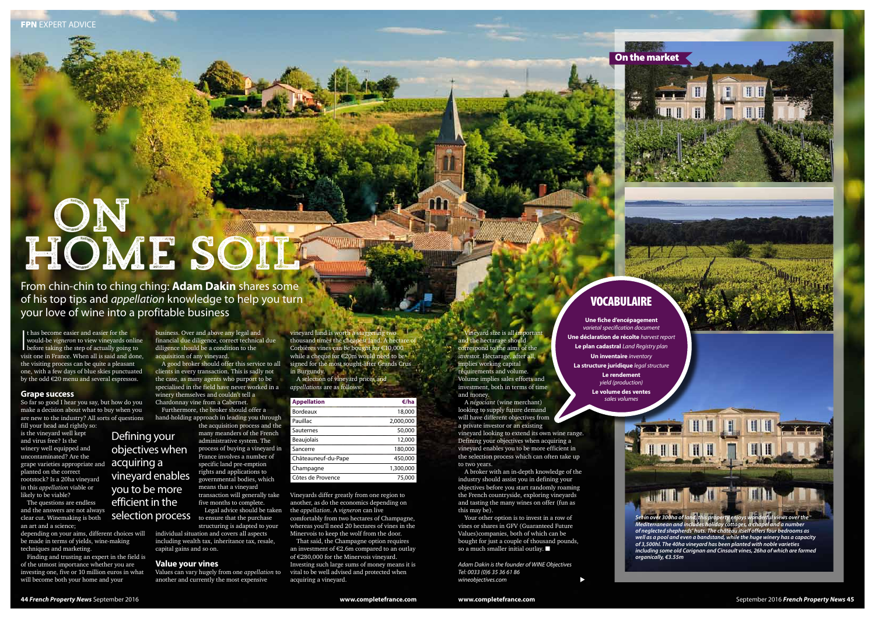From chin-chin to ching ching: **Adam Dakin** shares some of his top tips and *appellation* knowledge to help you turn your love of wine into a profitable business

t has become easier and easier for the<br>would-be *vigneron* to view vineyards onlin<br>before taking the step of actually going to<br>wisit one in France, Whon all is said and done t has become easier and easier for the would-be *vigneron* to view vineyards online visit one in France. When all is said and done, the visiting process can be quite a pleasant one, with a few days of blue skies punctuated by the odd €20 menu and several espressos.

fill your head and rightly so: is the vineyard well kept and virus free? Is the winery well equipped and uncontaminated? Are the grape varieties appropriate and **acquiring a** planted on the correct rootstock? Is a 20ha vineyard in this *appellation* viable or likely to be viable?

#### **Grape success**

So far so good I hear you say, but how do you make a decision about what to buy when you are new to the industry? All sorts of questions

The questions are endless and the answers are not always an art and a science;

clear cut. Winemaking is both  $\bigcup$  SCIECLIOI I DIOCESS  $\bigcup$  to ensure that the purchase five months to complete. Legal advice should be taken structuring is adapted to your

depending on your aims, different choices will be made in terms of yields, wine-making techniques and marketing.

Finding and trusting an expert in the field is of the utmost importance whether you are investing one, five or 10 million euros in what will become both your home and your

business. Over and above any legal and financial due diligence, correct technical due diligence should be a condition to the acquisition of any vineyard.

A good broker should offer this service to all clients in every transaction. This is sadly not the case, as many agents who purport to be specialised in the field have never worked in a winery themselves and couldn't tell a Chardonnay vine from a Cabernet.

Furthermore, the broker should offer a

Your other option is to invest in a row of vines or shares in GFV (Guaranteed Future Values)companies, both of which can be bought for just a couple of thousand pounds, so a much smaller initial outlay.  $\blacksquare$ 

individual situation and covers all aspects including wealth tax, inheritance tax, resale, capital gains and so on.

#### **Value your vines**

Values can vary hugely from one *appellation* to another and currently the most expensive

vineyard land is worth a staggering two thousand times the cheapest land. A hectare of Corbières vines can be bought for €10,000 while a cheque for €20m would need to be signed for the most sought-after Grands Crus in Burgundy.

# HOME SOIL On

A selection of vineyard prices and *appellations* are as follows:

| <b>Appellation</b>  | €/ha      |
|---------------------|-----------|
| Bordeaux            | 18,000    |
| Pauillac            | 2,000,000 |
| Sauternes           | 50,000    |
| Beaujolais          | 12,000    |
| Sancerre            | 180,000   |
| Châteauneuf-du-Pape | 450,000   |
| Champagne           | 1,300,000 |
| Côtes de Provence   | 75,000    |

Vineyards differ greatly from one region to another, as do the economics depending on the *appellation*. A *vigneron* can live comfortably from two hectares of Champagne, whereas you'll need 20 hectares of vines in the Minervois to keep the wolf from the door.

hand-holding approach in leading you through the acquisition process and the many meanders of the French administrative system. The process of buying a vineyard in France involves a number of specific land pre-emption rights and applications to governmental bodies, which means that a vineyard transaction will generally take objectives when vineyard enables

> That said, the Champagne option requires an investment of €2.6m compared to an outlay of €280,000 for the Minervois vineyard. Investing such large sums of money means it is vital to be well advised and protected when acquiring a vineyard.

Vineyard size is all important and the hectarage should correspond to the aims of the investor. Hectarage, after all, implies working capital requirements and volume. Volume implies sales efforts and investment, both in terms of time and money.

A *négociant* (wine merchant) looking to supply future demand will have different objectives from a private investor or an existing vineyard looking to extend its own wine range. Defining your objectives when acquiring a vineyard enables you to be more efficient in the selection process which can often take up to two years.

A broker with an in-depth knowledge of the industry should assist you in defining your objectives before you start randomly roaming the French countryside, exploring vineyards and tasting the many wines on offer (fun as this may be).

*Adam Dakin is the founder of WINE Objectives Tel: 0033 (0)6 35 36 61 86 wineobjectives.com*

## **VOCABULAIRE**

Defining your

you to be more efficient in the



**Une fiche d'encépagement** *varietal specification document* **Une déclaration de récolte** *harvest report* **Le plan cadastral** *Land Registry plan* **Un inventaire** *inventory* **La structure juridique** *legal structure* **Le rendement** *yield (production)* **Le volume des ventes** *sales volumes*